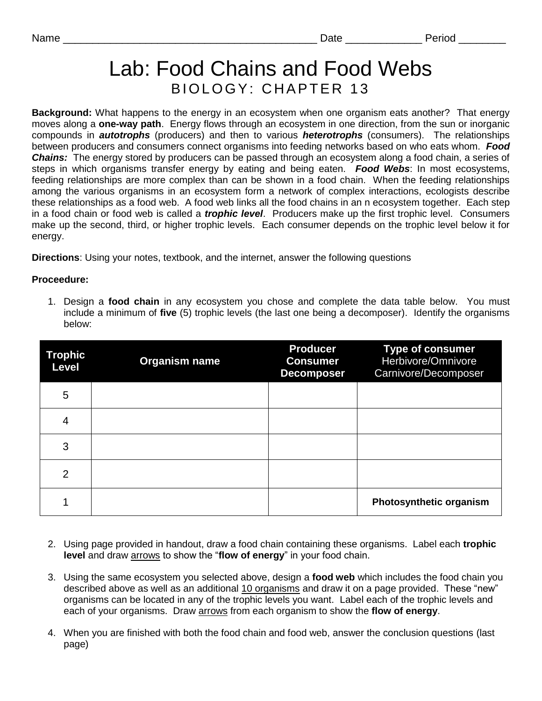## Lab: Food Chains and Food Webs BIOLOGY: CHAPTER 13

**Background:** What happens to the energy in an ecosystem when one organism eats another? That energy moves along a **one-way path**. Energy flows through an ecosystem in one direction, from the sun or inorganic compounds in *autotrophs* (producers) and then to various *heterotrophs* (consumers). The relationships between producers and consumers connect organisms into feeding networks based on who eats whom. *Food Chains:* The energy stored by producers can be passed through an ecosystem along a food chain, a series of steps in which organisms transfer energy by eating and being eaten. *Food Webs*: In most ecosystems, feeding relationships are more complex than can be shown in a food chain. When the feeding relationships among the various organisms in an ecosystem form a network of complex interactions, ecologists describe these relationships as a food web. A food web links all the food chains in an n ecosystem together. Each step in a food chain or food web is called a *trophic level*. Producers make up the first trophic level. Consumers make up the second, third, or higher trophic levels. Each consumer depends on the trophic level below it for energy.

**Directions**: Using your notes, textbook, and the internet, answer the following questions

## **Proceedure:**

1. Design a **food chain** in any ecosystem you chose and complete the data table below. You must include a minimum of **five** (5) trophic levels (the last one being a decomposer). Identify the organisms below:

| <b>Trophic</b><br><b>Level</b> | <b>Organism name</b> | <b>Producer</b><br><b>Consumer</b><br><b>Decomposer</b> | <b>Type of consumer</b><br>Herbivore/Omnivore<br>Carnivore/Decomposer |
|--------------------------------|----------------------|---------------------------------------------------------|-----------------------------------------------------------------------|
| 5                              |                      |                                                         |                                                                       |
| 4                              |                      |                                                         |                                                                       |
| 3                              |                      |                                                         |                                                                       |
| $\overline{2}$                 |                      |                                                         |                                                                       |
|                                |                      |                                                         | <b>Photosynthetic organism</b>                                        |

- 2. Using page provided in handout, draw a food chain containing these organisms. Label each **trophic level** and draw arrows to show the "**flow of energy**" in your food chain.
- 3. Using the same ecosystem you selected above, design a **food web** which includes the food chain you described above as well as an additional 10 organisms and draw it on a page provided. These "new" organisms can be located in any of the trophic levels you want. Label each of the trophic levels and each of your organisms. Draw arrows from each organism to show the **flow of energy**.
- 4. When you are finished with both the food chain and food web, answer the conclusion questions (last page)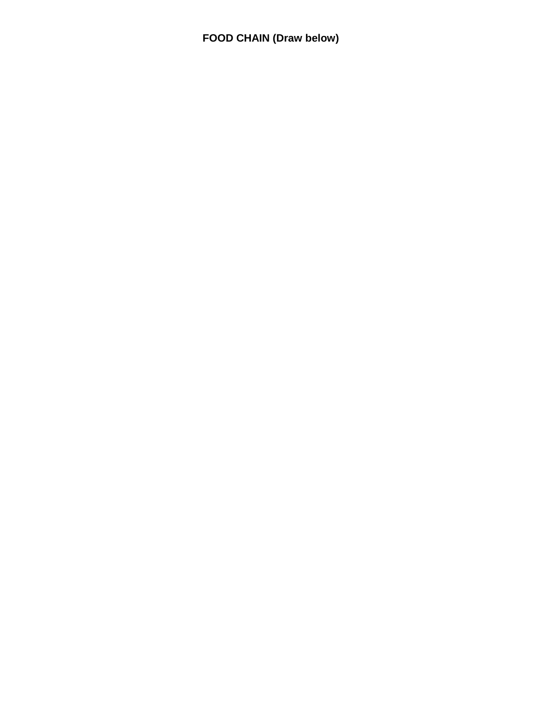**FOOD CHAIN (Draw below)**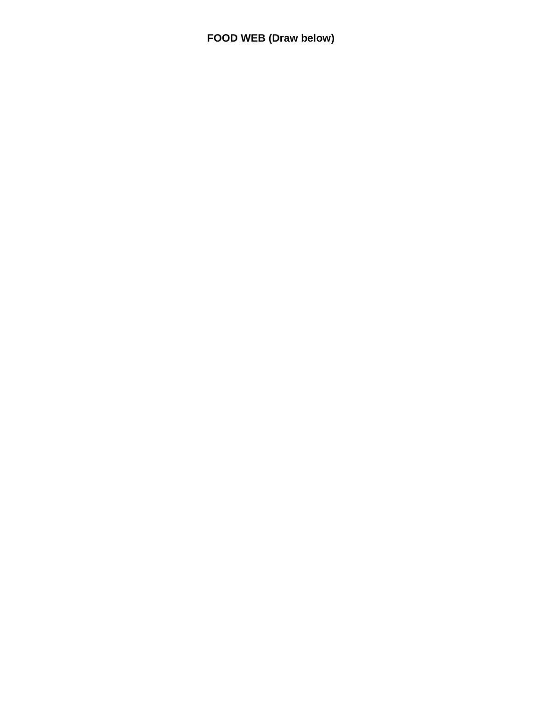**FOOD WEB (Draw below)**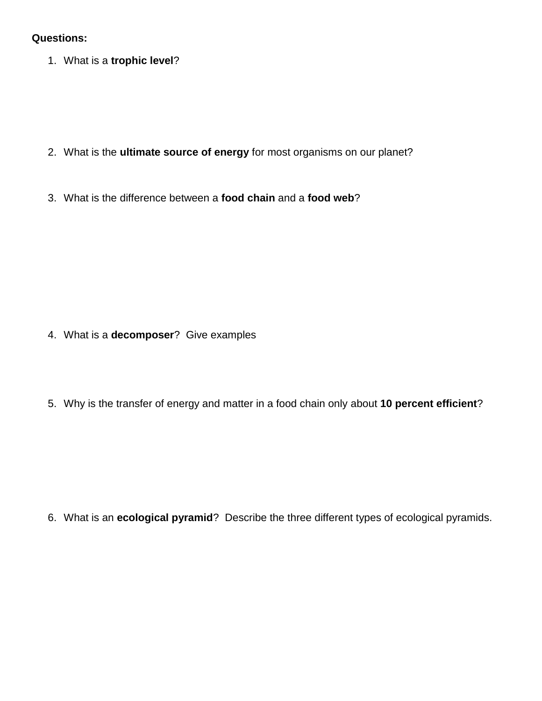## **Questions:**

1. What is a **trophic level**?

- 2. What is the **ultimate source of energy** for most organisms on our planet?
- 3. What is the difference between a **food chain** and a **food web**?

- 4. What is a **decomposer**? Give examples
- 5. Why is the transfer of energy and matter in a food chain only about **10 percent efficient**?

6. What is an **ecological pyramid**? Describe the three different types of ecological pyramids.